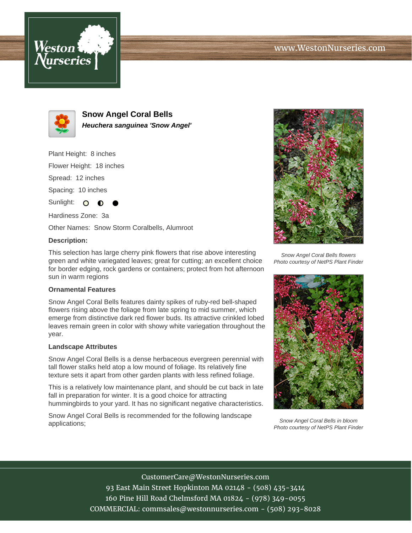



**Snow Angel Coral Bells Heuchera sanguinea 'Snow Angel'**

Plant Height: 8 inches

Flower Height: 18 inches

Spread: 12 inches

Spacing: 10 inches

Sunlight: O

Hardiness Zone: 3a

Other Names: Snow Storm Coralbells, Alumroot

## **Description:**

This selection has large cherry pink flowers that rise above interesting green and white variegated leaves; great for cutting; an excellent choice for border edging, rock gardens or containers; protect from hot afternoon sun in warm regions

## **Ornamental Features**

Snow Angel Coral Bells features dainty spikes of ruby-red bell-shaped flowers rising above the foliage from late spring to mid summer, which emerge from distinctive dark red flower buds. Its attractive crinkled lobed leaves remain green in color with showy white variegation throughout the year.

## **Landscape Attributes**

Snow Angel Coral Bells is a dense herbaceous evergreen perennial with tall flower stalks held atop a low mound of foliage. Its relatively fine texture sets it apart from other garden plants with less refined foliage.

This is a relatively low maintenance plant, and should be cut back in late fall in preparation for winter. It is a good choice for attracting hummingbirds to your yard. It has no significant negative characteristics.

Snow Angel Coral Bells is recommended for the following landscape applications;



Snow Angel Coral Bells flowers Photo courtesy of NetPS Plant Finder



Snow Angel Coral Bells in bloom Photo courtesy of NetPS Plant Finder

CustomerCare@WestonNurseries.com 93 East Main Street Hopkinton MA 02148 - (508) 435-3414 160 Pine Hill Road Chelmsford MA 01824 - (978) 349-0055 COMMERCIAL: commsales@westonnurseries.com - (508) 293-8028